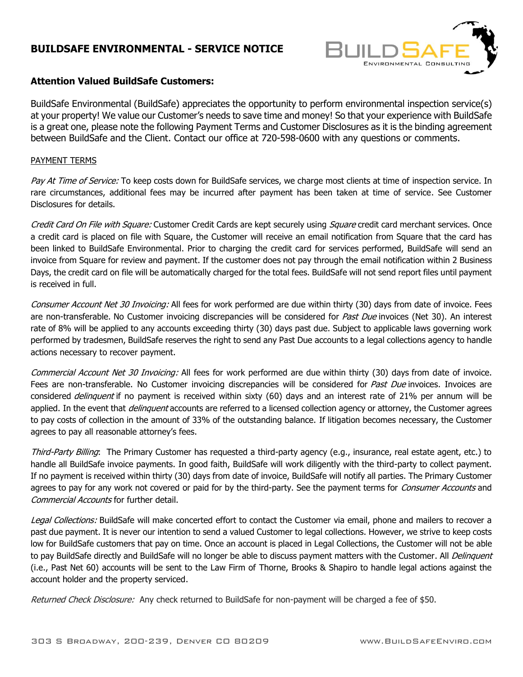## **BUILDSAFE ENVIRONMENTAL - SERVICE NOTICE**



## **Attention Valued BuildSafe Customers:**

BuildSafe Environmental (BuildSafe) appreciates the opportunity to perform environmental inspection service(s) at your property! We value our Customer's needs to save time and money! So that your experience with BuildSafe is a great one, please note the following Payment Terms and Customer Disclosures as it is the binding agreement between BuildSafe and the Client. Contact our office at 720-598-0600 with any questions or comments.

## PAYMENT TERMS

Pay At Time of Service: To keep costs down for BuildSafe services, we charge most clients at time of inspection service. In rare circumstances, additional fees may be incurred after payment has been taken at time of service. See Customer Disclosures for details.

Credit Card On File with Square: Customer Credit Cards are kept securely using Square credit card merchant services. Once a credit card is placed on file with Square, the Customer will receive an email notification from Square that the card has been linked to BuildSafe Environmental. Prior to charging the credit card for services performed, BuildSafe will send an invoice from Square for review and payment. If the customer does not pay through the email notification within 2 Business Days, the credit card on file will be automatically charged for the total fees. BuildSafe will not send report files until payment is received in full.

Consumer Account Net 30 Invoicing: All fees for work performed are due within thirty (30) days from date of invoice. Fees are non-transferable. No Customer invoicing discrepancies will be considered for Past Due invoices (Net 30). An interest rate of 8% will be applied to any accounts exceeding thirty (30) days past due. Subject to applicable laws governing work performed by tradesmen, BuildSafe reserves the right to send any Past Due accounts to a legal collections agency to handle actions necessary to recover payment.

Commercial Account Net 30 Invoicing: All fees for work performed are due within thirty (30) days from date of invoice. Fees are non-transferable. No Customer invoicing discrepancies will be considered for Past Due invoices. Invoices are considered *delinquent* if no payment is received within sixty (60) days and an interest rate of 21% per annum will be applied. In the event that *delinquent* accounts are referred to a licensed collection agency or attorney, the Customer agrees to pay costs of collection in the amount of 33% of the outstanding balance. If litigation becomes necessary, the Customer agrees to pay all reasonable attorney's fees.

Third-Party Billing: The Primary Customer has requested a third-party agency (e.g., insurance, real estate agent, etc.) to handle all BuildSafe invoice payments. In good faith, BuildSafe will work diligently with the third-party to collect payment. If no payment is received within thirty (30) days from date of invoice, BuildSafe will notify all parties. The Primary Customer agrees to pay for any work not covered or paid for by the third-party. See the payment terms for *Consumer Accounts* and Commercial Accounts for further detail.

Legal Collections: BuildSafe will make concerted effort to contact the Customer via email, phone and mailers to recover a past due payment. It is never our intention to send a valued Customer to legal collections. However, we strive to keep costs low for BuildSafe customers that pay on time. Once an account is placed in Legal Collections, the Customer will not be able to pay BuildSafe directly and BuildSafe will no longer be able to discuss payment matters with the Customer. All *Delinquent* (i.e., Past Net 60) accounts will be sent to the Law Firm of Thorne, Brooks & Shapiro to handle legal actions against the account holder and the property serviced.

Returned Check Disclosure: Any check returned to BuildSafe for non-payment will be charged a fee of \$50.